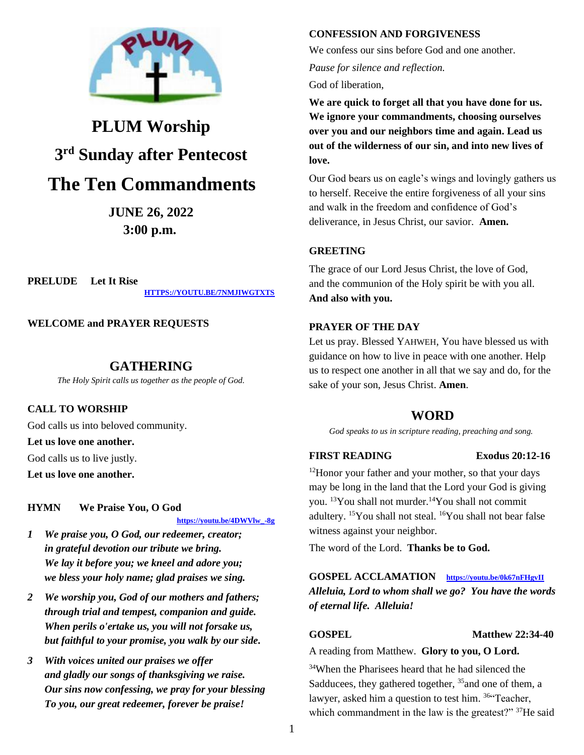

# **PLUM Worship 3 rd Sunday after Pentecost**

## **The Ten Commandments**

**JUNE 26, 2022 3:00 p.m.**

**PRELUDE Let It Rise**

**[HTTPS://YOUTU.BE/7NMJIWGTXTS](https://youtu.be/7NmjIwGtXts)**

**WELCOME and PRAYER REQUESTS**

### **GATHERING**

*The Holy Spirit calls us together as the people of God.*

#### **CALL TO WORSHIP**

God calls us into beloved community.

#### **Let us love one another.**

God calls us to live justly.

**Let us love one another.**

#### **HYMN We Praise You, O God**

 **[https://youtu.be/4DWVlw\\_-8g](https://youtu.be/4DWVlw_-8g)**

- *1 We praise you, O God, our redeemer, creator; in grateful devotion our tribute we bring. We lay it before you; we kneel and adore you; we bless your holy name; glad praises we sing.*
- *2 We worship you, God of our mothers and fathers; through trial and tempest, companion and guide. When perils o'ertake us, you will not forsake us, but faithful to your promise, you walk by our side.*
- *3 With voices united our praises we offer and gladly our songs of thanksgiving we raise. Our sins now confessing, we pray for your blessing To you, our great redeemer, forever be praise!*

#### **CONFESSION AND FORGIVENESS**

We confess our sins before God and one another.

*Pause for silence and reflection.*

God of liberation,

**We are quick to forget all that you have done for us. We ignore your commandments, choosing ourselves over you and our neighbors time and again. Lead us out of the wilderness of our sin, and into new lives of love.**

Our God bears us on eagle's wings and lovingly gathers us to herself. Receive the entire forgiveness of all your sins and walk in the freedom and confidence of God's deliverance, in Jesus Christ, our savior. **Amen.**

#### **GREETING**

The grace of our Lord Jesus Christ, the love of God, and the communion of the Holy spirit be with you all. **And also with you.**

#### **PRAYER OF THE DAY**

Let us pray. Blessed YAHWEH, You have blessed us with guidance on how to live in peace with one another. Help us to respect one another in all that we say and do, for the sake of your son, Jesus Christ. **Amen**.

### **WORD**

*God speaks to us in scripture reading, preaching and song.*

#### **FIRST READING Exodus 20:12-16**

<sup>12</sup>Honor your father and your mother, so that your days may be long in the land that the Lord your God is giving you. <sup>13</sup>You shall not murder.<sup>14</sup>You shall not commit adultery. <sup>15</sup>You shall not steal. <sup>16</sup>You shall not bear false witness against your neighbor.

The word of the Lord. **Thanks be to God.**

**GOSPEL ACCLAMATION <https://youtu.be/0k67nFHgvII>** *Alleluia, Lord to whom shall we go? You have the words of eternal life. Alleluia!*

#### **GOSPEL** Matthew 22:34-40

A reading from Matthew. **Glory to you, O Lord.**

<sup>34</sup>When the Pharisees heard that he had silenced the Sadducees, they gathered together,  $35$  and one of them, a lawyer, asked him a question to test him. <sup>36"</sup>Teacher, which commandment in the law is the greatest?" <sup>37</sup>He said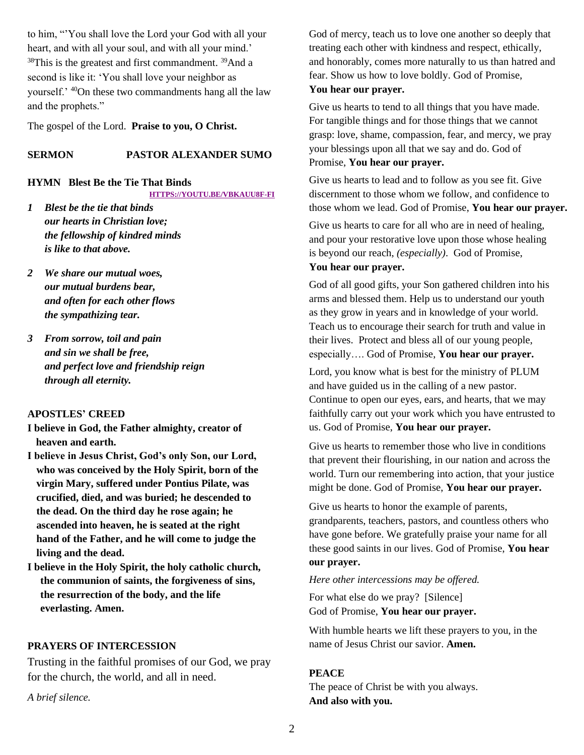to him, "'You shall love the Lord your God with all your heart, and with all your soul, and with all your mind.' <sup>38</sup>This is the greatest and first commandment. <sup>39</sup>And a second is like it: 'You shall love your neighbor as yourself.' <sup>40</sup>On these two commandments hang all the law and the prophets."

The gospel of the Lord. **Praise to you, O Christ.**

#### **SERMON PASTOR ALEXANDER SUMO**

#### **HYMN Blest Be the Tie That Binds**

**[HTTPS://YOUTU.BE/VBKAUU8F-FI](https://youtu.be/VBkAuu8F-fI)**

- *1 Blest be the tie that binds our hearts in Christian love; the fellowship of kindred minds is like to that above.*
- *2 We share our mutual woes, our mutual burdens bear, and often for each other flows the sympathizing tear.*
- *3 From sorrow, toil and pain and sin we shall be free, and perfect love and friendship reign through all eternity.*

#### **APOSTLES' CREED**

- **I believe in God, the Father almighty, creator of heaven and earth.**
- **I believe in Jesus Christ, God's only Son, our Lord, who was conceived by the Holy Spirit, born of the virgin Mary, suffered under Pontius Pilate, was crucified, died, and was buried; he descended to the dead. On the third day he rose again; he ascended into heaven, he is seated at the right hand of the Father, and he will come to judge the living and the dead.**
- **I believe in the Holy Spirit, the holy catholic church, the communion of saints, the forgiveness of sins, the resurrection of the body, and the life everlasting. Amen.**

#### **PRAYERS OF INTERCESSION**

Trusting in the faithful promises of our God, we pray for the church, the world, and all in need.

*A brief silence.*

God of mercy, teach us to love one another so deeply that treating each other with kindness and respect, ethically, and honorably, comes more naturally to us than hatred and fear. Show us how to love boldly. God of Promise, **You hear our prayer.**

#### Give us hearts to tend to all things that you have made. For tangible things and for those things that we cannot grasp: love, shame, compassion, fear, and mercy, we pray your blessings upon all that we say and do. God of Promise, **You hear our prayer.**

Give us hearts to lead and to follow as you see fit. Give discernment to those whom we follow, and confidence to those whom we lead. God of Promise, **You hear our prayer.**

Give us hearts to care for all who are in need of healing, and pour your restorative love upon those whose healing is beyond our reach, *(especially)*. God of Promise, **You hear our prayer.**

God of all good gifts, your Son gathered children into his arms and blessed them. Help us to understand our youth as they grow in years and in knowledge of your world. Teach us to encourage their search for truth and value in their lives. Protect and bless all of our young people, especially…. God of Promise, **You hear our prayer.**

Lord, you know what is best for the ministry of PLUM and have guided us in the calling of a new pastor. Continue to open our eyes, ears, and hearts, that we may faithfully carry out your work which you have entrusted to us. God of Promise, **You hear our prayer.**

Give us hearts to remember those who live in conditions that prevent their flourishing, in our nation and across the world. Turn our remembering into action, that your justice might be done. God of Promise, **You hear our prayer.**

Give us hearts to honor the example of parents, grandparents, teachers, pastors, and countless others who have gone before. We gratefully praise your name for all these good saints in our lives. God of Promise, **You hear our prayer.**

#### *Here other intercessions may be offered.*

For what else do we pray? [Silence] God of Promise, **You hear our prayer.**

With humble hearts we lift these prayers to you, in the name of Jesus Christ our savior. **Amen.**

#### **PEACE**

The peace of Christ be with you always. **And also with you.**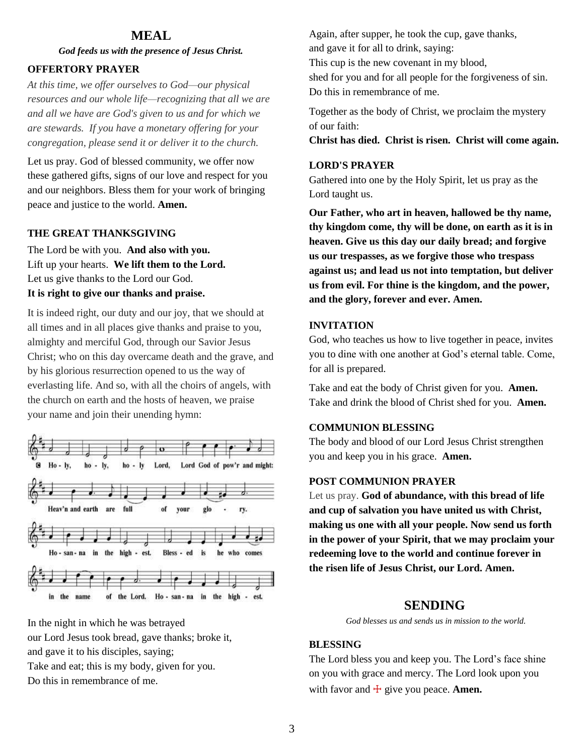#### **MEAL**

*God feeds us with the presence of Jesus Christ.*

#### **OFFERTORY PRAYER**

*At this time, we offer ourselves to God—our physical resources and our whole life—recognizing that all we are and all we have are God's given to us and for which we are stewards. If you have a monetary offering for your congregation, please send it or deliver it to the church.*

Let us pray. God of blessed community, we offer now these gathered gifts, signs of our love and respect for you and our neighbors. Bless them for your work of bringing peace and justice to the world. **Amen.**

#### **THE GREAT THANKSGIVING**

The Lord be with you. **And also with you.** Lift up your hearts. **We lift them to the Lord.** Let us give thanks to the Lord our God. **It is right to give our thanks and praise.**

It is indeed right, our duty and our joy, that we should at all times and in all places give thanks and praise to you, almighty and merciful God, through our Savior Jesus Christ; who on this day overcame death and the grave, and by his glorious resurrection opened to us the way of everlasting life. And so, with all the choirs of angels, with the church on earth and the hosts of heaven, we praise your name and join their unending hymn:



In the night in which he was betrayed

our Lord Jesus took bread, gave thanks; broke it, and gave it to his disciples, saying;

Take and eat; this is my body, given for you.

Do this in remembrance of me.

Again, after supper, he took the cup, gave thanks, and gave it for all to drink, saying: This cup is the new covenant in my blood, shed for you and for all people for the forgiveness of sin. Do this in remembrance of me.

Together as the body of Christ, we proclaim the mystery of our faith:

**Christ has died. Christ is risen. Christ will come again.**

#### **LORD'S PRAYER**

Gathered into one by the Holy Spirit, let us pray as the Lord taught us.

**Our Father, who art in heaven, hallowed be thy name, thy kingdom come, thy will be done, on earth as it is in heaven. Give us this day our daily bread; and forgive us our trespasses, as we forgive those who trespass against us; and lead us not into temptation, but deliver us from evil. For thine is the kingdom, and the power, and the glory, forever and ever. Amen.**

#### **INVITATION**

God, who teaches us how to live together in peace, invites you to dine with one another at God's eternal table. Come, for all is prepared.

Take and eat the body of Christ given for you. **Amen.** Take and drink the blood of Christ shed for you. **Amen.**

#### **COMMUNION BLESSING**

The body and blood of our Lord Jesus Christ strengthen you and keep you in his grace. **Amen.**

#### **POST COMMUNION PRAYER**

Let us pray. **God of abundance, with this bread of life and cup of salvation you have united us with Christ, making us one with all your people. Now send us forth in the power of your Spirit, that we may proclaim your redeeming love to the world and continue forever in the risen life of Jesus Christ, our Lord. Amen.**

#### **SENDING**

*God blesses us and sends us in mission to the world.*

#### **BLESSING**

The Lord bless you and keep you. The Lord's face shine on you with grace and mercy. The Lord look upon you with favor and  $\pm$  give you peace. **Amen.**